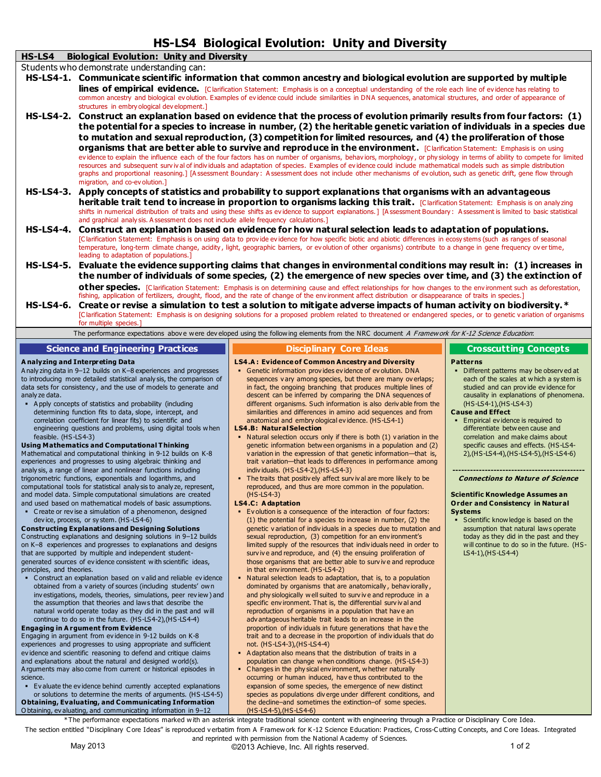| <b>HS-LS4 Biological Evolution: Unity and Diversity</b>                                                                                                                                                                                                                                                                                                           |  |  |  |  |
|-------------------------------------------------------------------------------------------------------------------------------------------------------------------------------------------------------------------------------------------------------------------------------------------------------------------------------------------------------------------|--|--|--|--|
| HS-LS4<br><b>Biological Evolution: Unity and Diversity</b>                                                                                                                                                                                                                                                                                                        |  |  |  |  |
| Students who demonstrate understanding can:                                                                                                                                                                                                                                                                                                                       |  |  |  |  |
| HS-LS4-1. Communicate scientific information that common ancestry and biological evolution are supported by multiple                                                                                                                                                                                                                                              |  |  |  |  |
| lines of empirical evidence. [Clarification Statement: Emphasis is on a conceptual understanding of the role each line of evidence has relating to<br>common ancestry and biological evolution. Examples of evidence could include similarities in DNA sequences, anatomical structures, and order of appearance of<br>structures in embry ological development.] |  |  |  |  |
| Construct an explanation based on evidence that the process of evolution primarily results from four factors: (1)<br><b>HS-LS4-2.</b>                                                                                                                                                                                                                             |  |  |  |  |
| the potential for a species to increase in number, (2) the heritable genetic variation of individuals in a species due                                                                                                                                                                                                                                            |  |  |  |  |
| to mutation and sexual reproduction, (3) competition for limited resources, and (4) the proliferation of those                                                                                                                                                                                                                                                    |  |  |  |  |
| <b>organisms that are better able to survive and reproduce in the environment.</b> [Clarification Statement: Emphasis is on using                                                                                                                                                                                                                                 |  |  |  |  |
| evidence to explain the influence each of the four factors has on number of organisms, behaviors, morphology, or physiology in terms of ability to compete for limited                                                                                                                                                                                            |  |  |  |  |
| resources and subsequent survival of individuals and adaptation of species. Examples of evidence could include mathematical models such as simple distribution<br>graphs and proportional reasoning.] [Assessment Boundary: Assessment does not include other mechanisms of evolution, such as genetic drift, gene flow through<br>migration, and co-ev olution.] |  |  |  |  |
| HS-LS4-3. Apply concepts of statistics and probability to support explanations that organisms with an advantageous                                                                                                                                                                                                                                                |  |  |  |  |
| heritable trait tend to increase in proportion to organisms lacking this trait. [Clarification Statement: Emphasis is on analyzing                                                                                                                                                                                                                                |  |  |  |  |
| shifts in numerical distribution of traits and using these shifts as evidence to support explanations.] [Assessment Boundary: Assessment is limited to basic statistical<br>and graphical analysis. Assessment does not include allele frequency calculations.]                                                                                                   |  |  |  |  |
| <b>HS-LS4-4.</b><br>Construct an explanation based on evidence for how natural selection leads to adaptation of populations.                                                                                                                                                                                                                                      |  |  |  |  |
| [Clarification Statement: Emphasis is on using data to provide evidence for how specific biotic and abiotic differences in ecosy stems (such as ranges of seasonal                                                                                                                                                                                                |  |  |  |  |
| temperature, long-term climate change, acidity, light, geographic barriers, or evolution of other organisms) contribute to a change in gene frequency over time,<br>leading to adaptation of populations.]                                                                                                                                                        |  |  |  |  |
| Evaluate the evidence supporting claims that changes in environmental conditions may result in: (1) increases in<br><b>HS-LS4-5.</b>                                                                                                                                                                                                                              |  |  |  |  |
| the number of individuals of some species, (2) the emergence of new species over time, and (3) the extinction of                                                                                                                                                                                                                                                  |  |  |  |  |
| <b>other species.</b> [Clarification Statement: Emphasis is on determining cause and effect relationships for how changes to the environment such as deforestation,                                                                                                                                                                                               |  |  |  |  |
| fishing, application of fertilizers, drought, flood, and the rate of change of the environment affect distribution or disappearance of traits in species.]                                                                                                                                                                                                        |  |  |  |  |
| <b>HS-LS4-6.</b><br>Create or revise a simulation to test a solution to mitigate adverse impacts of human activity on biodiversity. *                                                                                                                                                                                                                             |  |  |  |  |
| [Clarification Statement: Emphasis is on designing solutions for a proposed problem related to threatened or endangered species, or to genetic variation of organisms<br>for multiple species.]                                                                                                                                                                   |  |  |  |  |
| The performance expectations above were developed using the following elements from the NRC document A Framework for K-12 Science Education:                                                                                                                                                                                                                      |  |  |  |  |
| <b>Science and Engineering Practices</b><br><b>Disciplinary Core Ideas</b><br><b>Crosscutting Concepts</b>                                                                                                                                                                                                                                                        |  |  |  |  |
|                                                                                                                                                                                                                                                                                                                                                                   |  |  |  |  |
| <b>LS4.A: Evidence of Common Ancestry and Diversity</b><br>A nalyzing and Interpreting Data<br><b>Patterns</b><br>• Genetic information provides evidence of evolution, DNA<br>A naly zing data in 9-12 builds on K-8 experiences and progresses<br>• Different patterns may be observed at                                                                       |  |  |  |  |
| to introducing more detailed statistical analysis, the comparison of<br>sequences vary among species, but there are many overlaps;<br>each of the scales at which a system is<br>to esta for consistence, and the use of models to consuste and<br>in fact, the engaing branching that nuaduces multiple lines of<br>studied and can nuovide ovidence for         |  |  |  |  |

nsistency, and the use of models to generate and analy ze data.

 A pply concepts of statistics and probability (including determining function fits to data, slope, intercept, and correlation coefficient for linear fits) to scientific and engineering questions and problems, using digital tools when feasible. (HS-LS4-3)

### **Using Mathematics and Computational T hinking**

Mathematical and computational thinking in 9-12 builds on K-8 experiences and progresses to using algebraic thinking and analy sis, a range of linear and nonlinear functions including trigonometric functions, exponentials and logarithms, and computational tools for statistical analy sis to analy ze, represent, and model data. Simple computational simulations are created and used based on mathematical models of basic assumptions.

 C reate or rev ise a simulation of a phenomenon, designed dev ice, process, or sy stem. (HS -LS4-6)

### **Constructing Explanations and Designing Solutions**

C onstructing explanations and designing solutions in 9–12 builds on K–8 experiences and progresses to explanations and designs that are supported by multiple and independent studentgenerated sources of ev idence consistent with scientific ideas, principles, and theories.

 C onstruct an explanation based on v alid and reliable ev idence obtained from a v ariety of sources (including students' own inv estigations, models, theories, simulations, peer rev iew ) and the assumption that theories and laws that describe the natural world operate today as they did in the past and will continue to do so in the future. (HS-LS4-2),(HS-LS4-4)

### **Engaging in A rgument from Evidence**

Engaging in argument from ev idence in 9-12 builds on K-8 experiences and progresses to using appropriate and sufficient ev idence and scientific reasoning to defend and critique claims and explanations about the natural and designed world(s). A rguments may also come from current or historical episodes in science.

 Ev aluate the ev idence behind currently accepted explanations or solutions to determine the merits of arguments. (HS-LS4-5) **Obtaining, Evaluating, and Communicating Information** O btaining, ev aluating, and communicating information in 9–12

in fact, the ongoing branching that produces multiple lines descent can be inferred by comparing the DNA sequences of different organisms. Such information is also deriv able from the similarities and differences in amino acid sequences and from anatomical and embry ological ev idence. (HS-LS4-1)

### **LS4.B: Natural Selection**

- Natural selection occurs only if there is both (1) v ariation in the genetic information between organisms in a population and (2) v ariation in the expression of that genetic information—that is, trait v ariation—that leads to differences in performance among indiv iduals. (HS-LS4-2),(HS-LS4-3)
- The traits that positiv ely affect surv iv al are more likely to be reproduced, and thus are more common in the population. (HS-LS4-3)

### **LS4.C: A daptation**

- Ev olution is a consequence of the interaction of four factors: (1) the potential for a species to increase in number, (2) the genetic v ariation of indiv iduals in a species due to mutation and sexual reproduction, (3) competition for an env ironment's limited supply of the resources that indiv iduals need in order to surv iv e and reproduce, and (4) the ensuing proliferation of those organisms that are better able to surv iv e and reproduce in that env ironment. (HS-LS4-2)
- Natural selection leads to adaptation, that is, to a population dominated by organisms that are anatomically , behav iorally , and phy siologically well suited to surv iv e and reproduce in a specific env ironment. That is, the differential surv iv al and reproduction of organisms in a population that hav e an adv antageous heritable trait leads to an increase in the proportion of indiv iduals in future generations that hav e the trait and to a decrease in the proportion of indiv iduals that do not. (HS-LS4-3),(HS-LS4-4)
- A daptation also means that the distribution of traits in a population can change when conditions change. (HS-LS4-3)
- C hanges in the phy sical env ironment, whether naturally occurring or human induced, hav e thus contributed to the expansion of some species, the emergence of new distinct species as populations div erge under different conditions, and the decline–and sometimes the extinction–of some species. (HS-LS4-5),(HS-LS4-6)

# tudied and can prov ide ev idence for causality in explanations of phenomena. (HS-LS4-1),(HS-LS4-3)

### **Cause and Effect**

**Empirical evidence is required to** differentiate between cause and correlation and make claims about specific causes and effects. (HS-LS4- 2),(HS-LS4-4),(HS-LS4-5),(HS-LS4-6)

#### **--------------------------------------------- Connections to Nature of Science**

### **Scientific Knowledge Assumes an Order and Consistency in Natural Systems**

 Scientific knowledge is based on the assumption that natural laws operate today as they did in the past and they will continue to do so in the future. (HS-LS4-1),(HS-LS4-4)

\*The performance expectations marked with an asterisk integrate traditional science content with engineering through a Practice or Disciplinary C ore Idea. The section entitled "Disciplinary Core Ideas" is reproduced verbatim from A Framework for K-12 Science Education: Practices, Cross-Cutting Concepts, and Core Ideas. Integrated and reprinted with permission from the National A cademy of Sciences.

May 2013 **May 2013 Caucal Contract Contract Contract Contract Contract Contract Contract Contract Contract Contract On the 1 of 2**